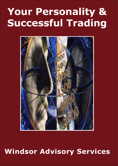# **Your Personality & Successful Trading**



## **Windsor Advisory Services**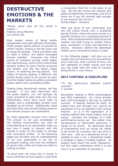### **DESTRUCTIVE EMOTIONS & THE MARKETS**

*"Money alone sets all the world in motion."* Pubilius Syrus Maxims 1st century BC

Most people dream of being totally independent and self-sufficient financially. These people spend millions of pounds on lottery tickets, hoping to be the lucky one to scoop the jackpot. There is another way to make a million, the highly leveraged futures markets. Everyone has heard stories of investors turning small stakes into vast fortunes, and it is this chance that attracts traders to open futures accounts and dream, just like the lottery ticket buyers, of receiving the big payout. The reality of futures trading is different; the profits always seem to be elusive so each time the trader trades he suffers consistent losses rather than consistent profits.

Trading looks deceptively simple, yet few succeed. If you read interviews with the great traders, you will perhaps be quite surprised to learn that very few are intellectuals, many have never been to college, and a considerable number even dropped out of school. Additionally, most will claim they have simple trading systems that almost anyone can understand.

So what separates winners from losers? The answer is not just knowledge of the trading environment, but also an understanding of our personality make-up and how it needs to interact with the market in order for the trader to emerge with consistent profits. In the following pages you will learn why an understanding of our own personality is the key to successful trading, and how the emotions of greed, fear, pride and hope are fatal to trading success.

*"A cloud does not know why it moves in such a direction at such speed, it just feels*  *a compulsion that this is the place to go now. By the sky knows the reasons and patterns behind the movements, and you'll know too if you lift yourself high enough to see beyond the horizon."* Richard Bach - Illusions

Take any price of any commodity and you will notice trends over a sustained period of time, where the price moves in a specific direction for a sustained period of time. Many analysts believe that prices are random and that trying to predict future price movement is futile and doomed to failure. However, behind the seemingly chaotic price movements there is order.

In the following pages I will give you an insight into how and why price movements occur and how, over a period of time, you can capitalise on these moves and how you can trade with the odds of success being firmly in your favour.

### **SELF CONTROL & DISCIPLINE**

*"To the destructive element submit yourself."* J. Conrad

Successful trading is 80% psychological and 20% methodical. As I have already said, self-knowledge is the key to market success. A trading method by itself, no matter how well thought out, cannot be successful if it is not applied in the correct manner. It is in the application of a trading method that many traders end up losing. Consider the analogy of a high performance-racing car. No matter how aerodynamic or technically advanced, it needs to be driven. An advanced piece of engineering such as racing car needs to be driven by a person who can drive it with care. Just as a disciplined driver is needed to race a car, a disciplined trader is needed to apply a trading method. All traders have heard the word "discipline", but few really understand what it is and why it is so important to develop it.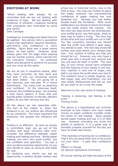#### **EMOTIONS AT WORK**

"When dealing with people, let us remember that we are not dealing with creatures of logic. We are dealing with creatures of emotion, creatures bursting with prejudices and motivated by price and vanity."

Dale Carnegie

Intelligence, knowledge and talent have to be applied. Any person who is successful knows that application requires discipline, self-control and confidence in one's abilities. Bjorn Borg was a great tennis player, he had talent. However, what always gave him the edge when playing was his mental control, which earned him the nickname "Iceman". He combined talent and discipline to achieve his success and you must do the same.

We are all put in situations where, after they have occurred, we look back and feel that if only our emotional control had been better. You are going for a job interview and role-play Th a friend beforehand. You come over as assertive and confident. In the interview itself, however, the confidence goes. You practise a best man's speech, it flows well and sounds great; however, on the day, delivery suffers as you feel nervous and shy.

All the above we can associate with. The fact of the matter is, when the pressure is on, our actions are influenced by our emotions. The more important the scenarios, the greater the influence will be.

Trading is no different. As soon as money is committed, logic can go out of the window and basic emotions take over. Consider the difference between paper trading and trading real time. Whilst paper trading, you earn very good profits, you are confident and optimistic. You see a very lucrative business opportunity, so you now decide to open an account and trade for real.

On studying your charts you see an opportunity, a perfect double bottom and

prices low in historical terms, now is the time to buy. You ring your broker to place the trade; however, the overwhelming confidence of paper trading has now deserted you. Perhaps you had better double-check the formation. After much deliberation you decide to phone the broker and the trade enters the market. For the next two days prices rise dramatically, your profits grow; you feel great, what an easy way to make a living. The next day prices drop and your profits are cut in half. You feel uncertain; perhaps you should take the profit now before it gets away. You decide to wait. The next day prices fall further and close below your mental stop loss. Your system is telling you that you should be cut. However, you only have a small loss and it should turn around and you will soon be back in profit. The next day, to your horror, prices have collapsed and the majority of your equity is now lost. Your reaction is now one of anger, why didn't you bank the profit when you had it! The market's move is totally illogical, you feel anger, pain and frustration, you are now totally disillusioned and fed up, and all you want to do is exit the trade.

Welcome to the real world of trading!

*"Seeing is believing, but feeling is the truth."* Thomas Fuller

The above is a hypothetical yet common example of how traders who have made money on paper suddenly crumble under the strain of real trading. Many people deride paper trading and say it is of little use. However, providing you know the pitfalls in advance, it is a great way to mentally prepare yourself for the day you have to trade real money.

*"The mainstay of training her is condence. That's why we show them how to let a tank*  run over them - it gets their confidence *up."*

Officer in Charge

US Special Operations Command

Of course nothing will take the place of the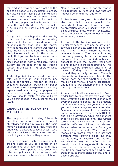real trading arena; however, practicing the basics on paper is a very useful exercise. To ridicule paper trading is similar to saying soldiers should not go on manoeuvres because the bullets are not for real! In conclusion, paper trading is useful if we adopt the right attitude to it, (i.e. we make it as realistic as possible and we don't cheat).

Going back to our hypothetical example, it is clear that the trader was making investment decisions based upon his emotions rather than logic. No matter how good the trading system was that he used, he would still fail due to his lack of discipline and self-control. This is not to imply that you can trade any system with discipline and be successful; however, a disciplined trader with a mediocre trading system has the edge on the best trading system in the world if its operator lacks discipline.

To develop discipline you need to acquire total confidence in your abilities, i.e. acquire self-control. You can do this by acquiring knowledge, practicing on paper and real time trading experience. Nothing replaces real time trading, but preparation in terms of understanding the markets and how you should relate to them will give you a distinct edge in the quest for the big profits.

#### **CHARACTERISTICS OF THE MARKETS**

The unique world of trading futures is one that encourages traders to reject objectivity and logic in favour of the basic human emotions of greed, fear, hope and pride, with disastrous consequences. Let's take a closer look at the markets and the psychological problems they create.

Operating in an unstructured environment. Trading requires you to operate in an environment with few rules and little structure. Most people need order and rules for guidance, it is the way their lives have been structured since childhood.

Man is brought up in a society that is held together by rules and laws that are imposed by an external authority.

Society is structured, and it is its definitive structure that makes people feel comfortable. Laws and rules are perceived as protection when our security and well being are threatened. We can, for instance, go to the police or Courts to look into and act on our grievances.

In contrast, the trading environment has no clearly defined rules and no structure. It would be, in society terms, total anarchy. The market moves where it wants, whenever it wants. The society of trading has no governing body that makes or enforces rules; there is no judicial body to appeal to should the investor feel prices are not moving in the right direction. This anarchy can be extremely unsettling for investors if they think prices should go up and they actually decline. There is absolutely nothing we can do about it. The market does not care whether investors make or lose money, it has no conscience, and it is a natural phenomenon and never has to justify its actions.

A harsh and hostile environment. Every trader tries to take money from everyone else. Everyone is trying to make money at everyone else's expense. It is a uniquely harsh environment, everyone is against you and you are against everyone else. One analyst compares it to a medieval battle - a man used to go to the battlefield and hill his adversary while his opponent tried to do the same to him. The winner took the loser's weapons, his chattels and sold his wife and children into slavery. Today traders to battle on the Exchanges instead of on the field. When you take money away from a trader, it is not that different from drawing blood, he may los his home, his chattels, and his wife and children may also suffer. Is this description a bit exaggerated? Perhaps: however, there is no denying how hostile the trading environment feels when you trade in it, to stand alone can be, and is, uncomfortable.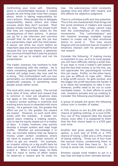Confronting your inner self. Standing alone is uncomfortable because it makes people do one thing that most feel uneasy about, which is taking responsibility for one's actions. Most people like to delegate responsibility, blame others and make excuses when they don't succeed. Most people simply cannot face the simple truth that they are responsible totally for the consequences of their actions. A person can go for a job interview and convince himself that he did not get the job due to a personality clash with the interviewer. A lawyer can drink too much before an important case and convince himself he lost because the Jury was biased, a salesman can convince himself that it was his product that was not up to scratch and not his presentation.

The trader, however, has nowhere to hide when interacting with the market. He is really competing against himself, and the market will judge every day how well he is doing. This confrontation with our own personality, our strengths and weaknesses graphically exposes, is something most people would rather avoid.

The work ethic does not apply. The normal work ethic of time, effort and reward that is common in most job situations does not apply in the markets. For example, a factory worker putting in overtime and working extra hours is rewarded with more money. As a general rule, the greater the effort we put in, the greater the reward we expect. However, no such work ethic exists with the markets. A trader can spend years creating a trading system, only to see his equity wiped out in a matter of days. A trader, however, may quickly develop a simple system and reap huge profits. Whether we acknowledge it or not, we normally believe that we deserve money under certain conditions where we have to expend a certain amount of effort to get our reward. For example, an investor sitting on a big profit feels he does not deserve it, and therefore tries to snatch it. When a trader loses, he feels that his input in terms of effort means he deserves a reward and he holds his

loss. His subconscious mind constantly equates time and effort with reward, and this affects his objective judgment.

There is unlimited profit and loss potential. This is the one characteristic that brings out the worst emotions in traders and causes them to lose. They simply cannot cope with the unlimitedness of the markets' movements. This "unlimitedness" and the massive leverage available causes traders to create risk by their emotional desire to avoid it. This may sound illogical until we examine how an investor's emotions interact with his perception of risk reward.

Consider the following: If making money is important to you, as it is to most people, you will have difficulty taking a small loss. If you bear in mind a trader's self esteem and the fact that money is on the line, you will appreciate the psychological turmoil this can cause. Profits, on the other hand, are just as difficult to cope with. When a large profit occurs, he gets excited, and the bigger the profit becomes the harder it is to resist the temptation to take it now. However, profits need to be run to cover inevitable losses. In their efforts to avoid risk, investors actually end up creating it. Consider the following psychological test:

A group of people are given the following choice over a number of trades:

A 75% chance to win \$1,000 with a 25% chance of getting nothing, or a sure \$700. Four out of five subjects take the second choice, even after it is explained to them that the first choice leads to a  $$750$  gain over time.

Another test gives people the following option; a sure loss of \$700 or a 75% chance of losing 1,000 and a 25% chance of losing nothing. Three out of four took the second choice, condemning them to lose 50 more than they have to. So, in trying to avoid risk, investors create it.

Emotion causes most traders to act in a way that will lead to their ultimate demise.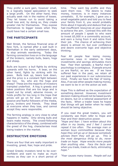They prefer a sure gain, however small, to a logically based speculation to seek a large profit. On the other hand, they actually seek risk in the realms of losses. They let losses run to avoid taking a small loss and, by doing so, they create greater risk for themselves. They expose themselves to bigger losses when they could have had a certain small loss.

#### **THE PARTICIPANTS**

Wall Street, the famous financial area of New York, is named after a wall built in Manhattan in the early settlement days, to stop animals wandering. Today the farming connection lives on in the language of the brokers; namely bulls, bears, hogs and sheep.

Bulls are buyers: a bull fights by striking upwards with his horns. A bear, on the other hand, fights by striking with his paws. Bulls look up, bears look down, and the price is a constant fight between the two. So, who are the hogs and sheep? These are the majority of investors trampled underfoot. A hog is greedy and takes positions that are too large and is wiped out by small, adverse moves, or holds profits for too long in the hope that prices will go on for ever. Sheep are passive and fearful followers of the media, gurus, brokers and friends. They bleat at everyone when they lose, and cannot accept they were responsible.

The farming analogy is very close to what happens in reality. Only strong bulls and bears make money. The crowd-following characteristics of the sheep, combined with the greed of the hog, characterises most losing traders in the market.

#### **DESTRUCTIVE EMOTIONS**

There are four that are really important in investing, greed, fear, hope and pride.

Greed Greedy investors tend to be overconfident and want to make as much money as they can in a short period of time. They want big profits and they want them now. The desire to make money, however, is in many instances unrealistic. If, for example, I gave you a small vegetable patch and told you to feed your family from it, you would probably think about it logically and deduce that you had insufficient resources at your disposal to achieve the aim. Contrast this with the amount of people I speak to who want to invest \$5,000 in a commodity account, and earn a living from it and retire from their job. The chance of achieving their desire is almost nil, but over confidence and desire overcome logic and objective thinking.

Fear All people fear losing money, worrisome news in relation to their investments and savings stimulates more fear. Fear then spreads; a fearful man's psychology is contagious. If people around us are fearful, so are we. If we have suffered fear in the past, we retain all our past experiences in our subconscious mind. Finally we have the fear of losing. Also, if we see other people making money, we want to be in on the action as well.

Hope This is defined as the expectation of something desired. However, investment decision making should not be based purely on desire, but on a rational assessment of the facts. When a trader loses he hopes that things will get better when he really should be being objective.

If you read the great traders, you will constantly see them refer to Hope and Fear and their destructive power.

*"Hope and fear: I have written about this often in my books, and I feel I cannot repeat it too often. The average man or woman buys commodities because they hope they will go up or because somebody advises them they will go up. This is the most dangerous thing to do, never trade on hope. Hope wrecks more people than anything else. Face the facts and when you trade, trade on facts, eliminating hope."*

*"Fear causes many losses. People sell out*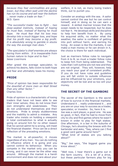*because they fear commodities are going lower, but they often wait until the decline has run its course and sell near the bottom … never make a trade on fear."* W.D. Gann

"The successful trader has to fight ... two *deep-seated instincts, instead of hoping he must fear, instead of fearing he must hope. He must fear that his loss may develop into a much bigger loss, and hope that his profit may become a big profit. It is absolutely wrong to gamble in stocks the way the average man does."*

*"The speculator's chief enemies are always boring from within. It is inseparable from human nature to hope and to fear."* Jesse Livermore

After greed the average speculator, to achieve his desire, falls victim to both hope and fear and ultimately loses his money

#### **PRIDE**

*"Price of opinion has been responsible for the downfall of more men on Wall Street than any other factor."* Charles Dow

Pride of opinion is a characteristic of losing traders that have not been able to see their inner selves; they do not know their own strengths and weaknesses. They do not understand themselves and their emotions. Pride is simply stubbornness and the inability to admit a mistake. Any trader who insists on holding a viewpoint in total contradiction to what is actually going on around him for no other reason that he cannot admit he is wrong, will meet the financial disaster. Price can be a direct reflection of the preceding emotions.

The market is all-powerful, it moves regardless of any man. You can do nothing to influence where it is going and you cannot control its behaviour. When you compete in the market only you can be wrong, and it can never be the other way around. Although the market is a harsh environment and does not care about your welfare, it is not, as many losing traders think, out to punish you.

Consider an analogy with the sea. A sailor cannot control the sea but he can control himself, and in doing so he can earn a reward. A skilled mariner knows that the ocean needs to be respected, but he does not fear it. He develops skills and discipline to help him benefit from it. By using his acquired skills, no matter what the weather, the sailor is confident of getting into port without harm, and earning his living. An ocean is like the markets, it can make a man money or he can drown in it, the choice is there for each individual.

Just as mariners follow rules to navigate from A to B, so must a trader follow rules to keep him from being sidetracked. The rules that I will outline are not new and they are not original. They will, however, help you reach your goal of consistent profits. If you do not have rules and guideline you will fall victim to outside influences and be influenced by your emotions, your objectivity will be lost and so too will your money.

#### **THE SECRET OF THE GAMBONI**

The secret of the Gamboni is the secret of how to survive in the financial markets. Understand it … really understand it … and you are on your way to success as a trader, speculator, or investor. So, here it is. Joe was a card player, a good one. He was so good, in fact, that he had to move from city to city and find games where he wasn't known in order to play for high stakes. One afternoon, in a bar in the suburbs of Chicago, he's shooting the breeze with the bartender and asks, "Say, where can I find a good card game around here?"

"What kind of stakes are you talking about?"

"Big," Joe says, "the biggest game you know about."

"Well now, I hear there's a game out in the farm country. It's a bit of a drive, but these particular farmers play for big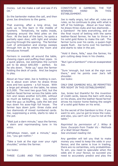money. Let me make a call and see if it's OK."

So the bartender makes the call, and then gives Joe directions to the game.

That evening, after a long drive, Joe pulls up to this barn in the middle of nowhere. Tentatively, he walks inside, tiptoeing around the fetid piles on the floor. At the back of the barn, he spots a partially open door, with light and smoke pouring through the opening. The familiar rush of anticipation and energy sweeps through him as he enters the room and introduces himself.

Farmers in overalls sit around the table, chewing cigars and puffing their pipes. In a quick glance, Joe estimates the current pot to be about  $$40,000$  - perfect. he sits down. "Ante up," says the farmer holding the deck of cards. And Joe begins to play.

About an hour later, Joe is holding is own. He is about even when he draws three aces and two queens - a full house. With a large pot already on the table, he raises \$15,000. The next two guys fold, but the leather-faced farmer across the table calls him and raises another \$15,000, without so much as batting an eye. Joe, certain that the guy us bluffing, calls the bet and lays down his aces-high full house. The farmer lays down junk: three clubs and two diamonds of mixed numbered cards. Joe, suppressing a smile, starts to rake in the pot.

"Wait just a darn minute," says the farmer, a stern and reprimanding tone in his voice.

2Whattaya mean, wait a minute," says Joe, "you got nothin."

"Take a look at the sign over your right shoulder," smiles the farmer.

Joe looks:

THREE CLUBS AND TWO DIAMONDS

CONSTITUTE A GAMBONI, THE TOP WINNING HAND IN THIS ESTABLISHMENT.

Joe is really angry, but after all, rules are rules, so he continues to play with what is left of his holdings. About an hour later, he draws three clubs and two diamonds … a Gamboni! He bets everything, and on the final round of betting with the same leather-faced farmer, he has to throw in his solid gold Rolex to make the call. The farmer turns over his cards, a queen-high spade flush. Joe turns over his Gamboni and starts to rake in the pot.

"Hold it there, fella," says the farmer, his grin cutting deep lines in his cheeks.

"But I got a Gamboni!" cries an exasperated Joe.

"Sure 'enough, but look at the sign over there," and he points over Joe's left shoulder. Joe looks:

ONLY ONE GAMBONI WILL BE PERMITTED PER NIGHT IN THIS ESTABLISHMENT.

Joe, broke but thankful for the invention of credit cards, leaves the barn with dung on his shoes, and the leather-faced farmer drives his tractor home feeling the weight of a solid gold Rolex on his wrist.

So the secret of the Gamboni is this: if you want to win, you've got to know the rules; and also, you can't win if you're not at the table."

*Reprinted by permission of J. Wiley & Sons. Excerpts from Trader Vic - Methods of a Wall Street Master. See enclosed reading list.*

Any gambler will tell you that to make money you need to keep the odds in your favour, and the same is true in trading, there are no certainties, only probabilities. To win, you need to speculate when the odds are in your favour, so succeed you need to accurately predict and play the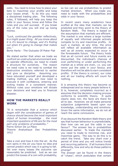odds. You need to know how to place your bets to maximise your profits and keep your losses small. To do this you need a disciplined trading plan. The following rules, if followed, will help you keep the odds in your favour, know and follow the rules and you will succeed. If you break any of the rules you will end up losing money.

"Luck, continued the gambler reflectively, *is a might queer thing. All you know about it is it's bound to change, and it's finding out when it's going to change that makes you."*

Berte Harte - The Outcasts Of Poker Flat

We stated earlier that when we trade we confront an unstructured environment and, to operate effectively, we need to create a structure for ourselves. The reason we need rules is we need to combat the destructive emotions referred to earlier and give us discipline. Assuming you have educated yourself and developed a trading method, you will now need to execute it with confidence, entering and exiting trades in a consistent manner. Without rules your emotions will dictate your decisions and lead you to financial disaster.

#### **HOW THE MARKETS REALLY WORK**

*"It is remarkable that a science which began with the consideration of games of chance should become the most important object of human knowledge … the most important questions of life are for the most part only problems of probability."*

Pierre Simon De La Place

Theorie Analystique Des Probabilities 1812

Take a coin and toss it into the air. As the coin spins in the air you have no idea and cannot predict which way it is going to fall. Yet over many tosses the outcome can reasonably be predicted. Just as we can predict the tosses of a coin with probability,

so too can we use probabilities to predict market direction. When you trade you need to trade with the probabilities and odds in your favour.

In recent years many academics have scoffed at the idea that markets can be predicted and they point to the theory of Random Walk. The theory is based on the assumption that markets are efficient. The market is one where a large number of equally well informed people actively compete to try and maximise profits. In such a market, at any time, the price will reflect all available information as well as all events expected to occur in the foreseeable future. The theory holds that as all current and future events are discounted, the individual's chances of over performing or under performing the market as a whole are even, i.e. you can never put the odds in your favour, and therefore will not be able to earn consistent profits. If the theory is correct, our rules and all our trading efforts will count for nothing.

It is amazing this theory has become so widespread and so many people believe it. It is, however, completely incorrect as it assumes that the decision-making process conforms to scientific theory. It quite clearly does not; the facts are there for all to see. However, we all make personal subjective judgements based upon our knowledge, understanding and emotions. Given the same information, we do not all reach the same conclusions.

If we discount the Random Walk theory and say that human behaviour is unpredictable, then how can we put the odds in our favour? The answer lies in probabilities discussed earlier. To trade the markets you need to trade to minimise risk, and maximise gains. The way to do this is to catch the trend. Take any chart over a period of time and you will notice trends and recurring patterns. If all humans think differently, how and why do these patterns emerge?

The answer can be found in the theory of "chaos", which postulates that certain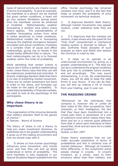types of natural activity are chaotic except in terms of probability. To give an example, the heartbeat of a person can be charted but given certain conditions, a heart will go into random fibrillation during which time the heartbeat cannot be predicted or modelled. Mathematically, weather forecasting is another area where chaos theory applies. The unpredictability of weather forecasting comes from what is called sensitivity to initial conditions. Mathematical models fail in forecasting because the slightest divergence between simulated and actual conditions multiplies in a complex chain of cause and effect relationships, giving rise to results in the model totally different than in nature. The best meteorologists can do is to forecast weather within the limits of probability.

While admitting that certain events in nature don't follow a perfect mathematical order, chaos theory says that they can still be understood, predicted and controlled. It directly challenges Random Walk that there is no way of predicting market movement. There are no certain predictions but there is order to the chaos, and forecasts can be made on the basis of probability. To understand probability in financial markets, we need to look at the psychology of the participants.

#### **Why chaos theory is so important.**

*"The organisation of the Universe demands that matters abandon itself to the games of chance."* H. Reeves - Atoms of Science

The theory of chaos is not a theory to help you make investment decisions, its usefulness lies in the greater understanding it gives us of the trading environment and how we should cope with it.

1. It shows us how human psychology influences price movement, why trends occur, and how they can end up being understood in terms of probability. The herd mentality is fully explained in our Special Situations Report available from the office. Human psychology has remained constant over time, and it is this fact that helps us predict the probability of price movement via technical analysis.

2. It disproves Random Walk theory; although market movements may appear random, under statistical tests they are not.

3. If it disproves that the markets are random, it also shows why the quest for the "Holy Grail" computerised or mechanical trading system is doomed to failure. It also confronts those disciples of such analysts as Gann and Elliott who believe the Universe is ruled by law.

4. It helps us to operate in an unstructured environment by giving us a greater understanding of it. The best you can do is understand the original conditions that give rise to probable future events, and act accordingly. This may sound disheartening, it is not. By understanding chaos, you will be able to keep the odds firmly in your favour. If you can do that, you will end up making a lot of money from your trading, year in year out.

#### **THE MADDING CROWD**

*"Whosoever be the individuals that compose it, however like or unlike be their make of life, their occupations, their character, or their intelligence, the fact that they have been transformed into a crowd puts them in possession of a sort of collective mind which makes them feel, think and act in a manner quite different from that in which each individual of them would feel, think and act were he in a state of isolation."* Gustav Le Bon 1897

Chaos theory postulates that we can make accurate predictions in terms of probabilities and this is certainly true of market behaviour. Although all investors think differently, in the investment arena people change in crowds. In crowd's investors, as a whole, react to their emotions rather than their intellect, and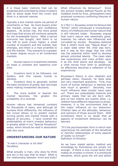it is these basic instincts that can be predicted and controlled by those investors able to stand aside from the crown and think in a rational manner.

Typically a bull market starts ina period of uncertainty or fear. As more buyers enter the market, prices rise and confidence appears. As prices rise, the more greed and hope that prices will continue upwards for the foreseeable future. After a period everyone has bought, and there is no one left to push prices higher, a small number of investors exit the market, fear emerges, and there is a mad scramble to exit the market. This scenario to a greater or lesser degree occurs in all investment markets.

1. Human nature in investment markets on mass is constant and repetitive over time.

2. Investors tend to be followers, not leaders, and this causes trends to develop.

3. Investors tend to generally exhibit the basic emotions of greed, fear and hope when making investment decisions.

4. The more bullish or bearish the market becomes, the greater the probability of a reversal.

Human nature has remained constant for thousands of years, and although all humans think differently, the influence of the crowd allows ut to predict market turning points and market trends with a degree of accuracy. I have covered the predictability of man's investor behaviour in greater detail in my "Special Situations" essay, which should be read in association with this work.

#### **UNDERSTANDING OUR NATURE**

*"A man's character is his fate"* **Heralatus** 

What actually is man, why does he think and act in the way that he does? What is the relationship between mind and body?

What influences his behaviour? Since the ancient Greeks defined Psyche as the Goddess loved by Eros, philosophers have produced numerous conflicting theories of human nature.

In 1762 J.J. Rousseau wrote his famous test "Emile", which introduced a revolutionary theory of childhood and human nature that is still relevant today. Rousseau argued that man's nature was essentially good; however, his nature was influenced and corrupted by society. Rousseau believed that a child's mind was "Tabula Rosa" or a clean slate when the child was born, and it was at this stage that the child has the potential within itself to develop almost unlimited talents. The clean slate has experiences and rules written upon it as the child learns and develops. As a child moves from birth to adulthood, he effectively becomes a reflection of his experiences.

Rousseau's theory is very idealistic and perhaps naïve; however, he does pose two very important questions. First, how much of human behaviour is learned and how much is genetic? Secondly, how much influence does society have upon us? There are undoubtedly instincts and primary needs that we are born with, and no two infants are exactly alike, i.e. children have different responses to stress. However, it is the environment that is the major influence on our behaviour. Children take on the attitudes, behaviour and opinions of those around them. With investment there is no doubt that all aspects of investment behaviour can be learned.

*"It's the psychosomatic form in which man experiences his estimate of the beneficial or harmful relationships of some aspects of reality to himself."* Definition of Emotion

As we have stated earlier, method and knowledge by themselves are simply not enough. If there is one crucial factor that makes an investor a winner, it is emotional discipline, which gives the will and ability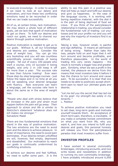to execute knowledge. In order to acquire it we need to look at our desire and motivation, and how these two conflicting emotions need to be reconciled in order that we can trade successfully.

All of us, at certain times, lack motivation. We may desire a whole host of different goals, yet we lack that spark of motivation to get us there. To fulfil our desires and reach our goals, we need to channel our desire through positive motivation.

Positive motivation is needed to get us to our goals. Without it, all our knowledge and desires are useless. Consider the area of weight loss. You can go into any bookshop and you will see countless scientifically proven methods of losing weight. Yet out of every 100 people who start a course, only 10 succeed in losing weight, and only 2 in 100 keep it off for more than a year. The success rate is less than futures trading! Ever seen those step-by-step language courses - just follow the tapes and in no time at all you will be speaking your desired language with fluency. Now everyone can learn a language, yet the success rate here is about the same as in the area of weight loss.

*"People who deal with stress believe that an increase in the pain and strain must happen before the pain will go away. Their approach to stress and life is similar to Nietzche's statement 'whatever does not kill makes me stronger."* Salvadore Madd

There are two fundamental emotions that stand in the way of positive motivation. The two emotions are the need to avoid pain and the desire to achieve pleasure. In order of importance, the need to avoid pain dominates. If our desires remain unfulfilled we will, however, feel empty, depressed and dissatisfied. Our motivation to reach our goals is continually undermined by conflicting emotions.

To achieve our desires and feel fulfilled, we need to suffer some pain. It is the ability to see this pain in a positive way that will help us reach and fulfil our desires and give us happiness. In the case of the language course, it is working with boring repetitive material; with the diet it is the pain of being deprived of food we crave. If you think of the pain/pleasure relationship in trading, you should consider the fundamental rule of trading: cut your losses and let your profits run and you will see why the majority of investors find it so difficult.

Taking a loss, however small, is painful and ego deflating. It means an admission of being wrong. Rather than take the loss, people hold on and hope that it will turn around and become profitable, and therefore pleasurable. In the world of trading this very rarely happens - the result is normally a bigger loss and greater pain. Similarly, when we see a profit in the market, the pleasure we derive from this means that most investors take it before it has the chance to turn around and cause pain. To be successful, it is clear that one needs to be able to positively accept shortterm pain to reach our ultimate goals and desires.

*"Let me tell you the secret that has led me to my goal: my strength lies solely in my tenacity."*

L. Pasteur

To achieve positive motivation you need to set clear, long-term goals and motivate yourself towards them. An acceptance of short-term pain, therefore, is inevitable. If you make a complete honest commitment on what you want from life, why you want it, and how you intend to fulfil your desires and goals, this personal honesty will release you from the pain/pleasure paradox that most investors suffer from.

#### **INVESTOR PROFILES**

I have worked in several commodity brokerages, introducing accounts, and now write books and newsletters in addition to running my own commodity brokerage. I have probably introduced around 6,000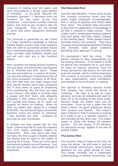investors to trading over the years, and have encountered a broad cross-section of investors. In his book "Beyond the Investors Quotient" J. Bernstein puts the investors he has come across into categories. I have done a similar exercise below, and tried to put investors into six main categories. They are not etched in stone and some categories obviously overlap.

The Universe is governed by law There is a huge marketing campaign in futures trading based around Holy Grail systems that are able to accurately predict future price movement based upon scientific law. They normally claim fantastic results and yet will only cost you a few hundred dollars.

Many systems are based around investors who are dead, and two of the most famous are R. Prechter and W.D. Gann. These two are promoted by a number of books, courses and software companies as two of the most successful investors of all time. The fact that they are dead means that they cannot answer some basic questions like if they were so good at predicting price movements, why did they not make much money? The reality is, Prechter died a pauper and W.D. Gann, who allegedly amassed a \$50 million fortune, had to sell courses and books, as he could not support his family by trading. When he died, his estate was valued at a modest \$100,000. You will see all types of scientific systems, many are based on astrology - how accurate are they - probably as accurate as your horoscope.

It amazes me how people fall for this hype. Clients who fall for sure fire systems vary from highly intelligent traders to newcomers. Alas, they don't last long, normally the first couple of trades shatter the illusion and it's back to the reality of working for a living. There are some good mechanical systems around however. Just like any good trader, they suffer periods of drawdown.

#### **The Educated Fool**

Just like Jake Berstein, I have come across this investor numerous times over the years, highly intelligent, knowledgeable, with a string of degrees and letters after their name. The problem they encounter is they feel the application of knowledge is all that is needed to make money. They create vastly complicated trading systems that look great, and then totally collapse in the market place. These people cannot translate theory into practice. They have no grasp of psychological aspects of trading and normally have great problems admitting their approach is wrong.

It's everybody's fault but mine This person refused to take responsibility for his trading decisions. If he makes a profit he shouts how wonderful he is, and when he loses he blames everyone from his broker giving him bad advice, his wife and even the market, which is acting illogically. This investor is normally insecure, unable to take responsibility, lacks confidence, and exhibits a lot of emotion in trading.

The Opinion or Advisory Service Junkie This investor has found the secret of investing. His logic is to get as many advisory services as possible and wait for them all to be looking at the same trade. Several heads are better than one he concludes. Once he has a trade that fits these criteria, he gains additional advice from brokers and friends. This trader's logic is flawed in that if everyone is looking at a trade to go in a specific direction, it will normally go the other way. This trader needs to study the theory of contrary opinion. The old saying "if it's obvious, it's obviously wrong" applies to his way of picking trades.

#### **The Action Man**

This investor likes to trade all the time, he loves the action. He will trade in and out of the market continuously, rarely holding positions for any great period of time. This trader normally has a reasonable understanding of market movements, but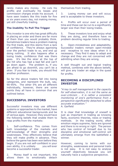rarely makes any money. He cuts his profits and eventually his losses and commission charges erode his account. I have seen traders like this trade for five or six years every day, not making money, yet still cheerfully trading.

#### **The Inability To Pull The Trigger**

This investor is one who has great difficulty in placing an order and there are far more of them than you would probably think. Sometimes traders have a problem making the first trade, and this stems from a lack of confidence. They're always agonising over the perfect trade to so, and end up doing nothing. It also happens after a losing trade, confidence that was there goes. It's like the skier at the top of the hill who has had a bad fall and can't go down again. The problem is, if you are afraid to go downhill, you can't be a skier. If you fear to trade, you should find another profession.

So far the above traders fall into losing categories, and represent the bulk, say, 90-95%. The other 5% are all different individually, however, there are some points they all have in common that are outlined below.

#### **SUCCESSFUL INVESTORS**

Successful investors may use different systems or approaches to the market, have different educational backgrounds and be of various ages. However, they would have the following beliefs that enable them to reap profits from the markets:

1. Self-confidence. This comes from both knowledge of the markets and self-knowledge of their strengths and weaknesses. They effectively believe that they will make profits in advance. They believe the game has been won before they begin. If you are not self-confident in your own ability, it is unlikely you will ever become a successful trader.

2. Money itself is not important; this allows them to emotionally detach

themselves from trading.

3. Losing money can and will occur, and is acceptable to these investors.

4. Profits will occur over a period of time and these can be run to a significantly larger size than their losing trades.

5. These investors love and enjoy what they are doing, and therefore have no problem devoting regular time to trading.

6. Open-mindedness and adaptability. Successful traders remain open-minded and receptive to new ideas when it is necessary. They find it easy to adapt and change and they are not concerned with admitting when they are wrong.

A well thought out and logical trading method, combines with the above beliefs, will give any trader an edge in the quest for profits.

### **BECOMING A DISCIPLINED INVESTOR**

*"A key to self management is the capacity for self-observation, it is not the same as over-criticism … it is rather a consistent monitoring of one's performance from a perspective signicantly detached to allow accurate evaluation."* A. Garfield

It is clear that knowledge of oneself is just as important in trading as knowing facts, economic theories, news or trading methods. In the trading world, often emotion reigns supreme, facts are ignored and there is no wrong or right. The person who has control of himself due to his discipline and emotional self-control will ultimately emerge from the battlefield a winner.

However, coming to terms with our strengths, weaknesses and personal traits is not easy. It is not easy to analyse yourself objectively because you will naturally have a subjective perspective.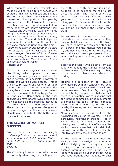When trying to understand yourself, you must be willing to be totally honest with yourself. This can be difficult and painful. The person must have the ability to accept the results of looking within. Most people, however, find it difficult to admit they made a mistake. Ask a room full of people how many of them are happy admitting their mistakes and you will see few, if any, hands go up. Admitting mistakes, however, is a positive not negative attribute in trading, as it is in life. The world is full of people who want to be right, but the reality is everyone cannot be right all of the time.

*"Learning is after all not whether we lose the game, but how we lose and how we have changed because of it, and what we take away from it that we never had before to apply to other situations' losing in a curious way is wining."* Richard Bach

All of us have physical and mental disabilities, which prevent us from achieving all our goals and desires. No one is perfect. It is possible, however, to isolate and work on weaknesses. This is similar to reviewing and working on your trading method. You must understand the strengths and weaknesses of the system and try to improve it, but realise perfection is impossible. Remember, in the final analysis you have inherent weaknesses and may not have all the required attributes for trading, but neither does anyone else. The more traits you possess, the greater your advantage, but the more you work at obtaining these traits, the better your chances for success.

#### **THE SECRET OF MARKET SUCCESS**

*"For surely we are not … no simply contending in order that my view or that yours may prevail, but I presume that we ought both of us to be ghting for the truth."* **Socrates** 

The aim of any investor is to make money by correctly identifying and acting upon the truth. The truth, however, is elusive, as there is no scientific method to get us to the truth. The truth is difficult to see as it can be totally different to what your emotions and natural instincts are telling you. Furthermore, the fact that the majority of people agree or disagree with you has no relevance in the pursuit of the truth.

To succeed in trading you need to understand that there are no certainties, only probabilities, and to seek the truth you need to have a deep understanding of yourself and the market you operate in, and how you relate to it. You need to stand-alone and, from your perception of what is going on around you, decide what the truth is.

I started this essay with a quote from Lao Tzu, who founded the Chinese philosophy of Taoism over 2,500 years ago. Many of the beliefs of Taoism are relevant to trading.

Trading is a reflection of life. This is why there are so many contradictory ideas and shades of grey instead of black and white answers. Just like life, trading is unpredictable; people who believe that there is a scientific law to investing that can predict commodity price movements are missing the point. Trying to reduce everything to numbers if, in Lao Tzu's words, like trying to catch running water in a bucket.

Many elements of Taoism hint at the psychological course of events. This is particularly relevant in trading. Tao in English means "the way". Tao is the missing link in trading, it is effectively the ability to see an event before it is definitely known, that is the key. It is really the intuitive ability to see and then to act.

In the world of Taoism you need the ability to use both analytical and intuitive skills. Relying on both right and left hemispheres of the brain to process and analyse information, this is the key to identifying and acting upon the truth. Once you have brought your thoughts to bear